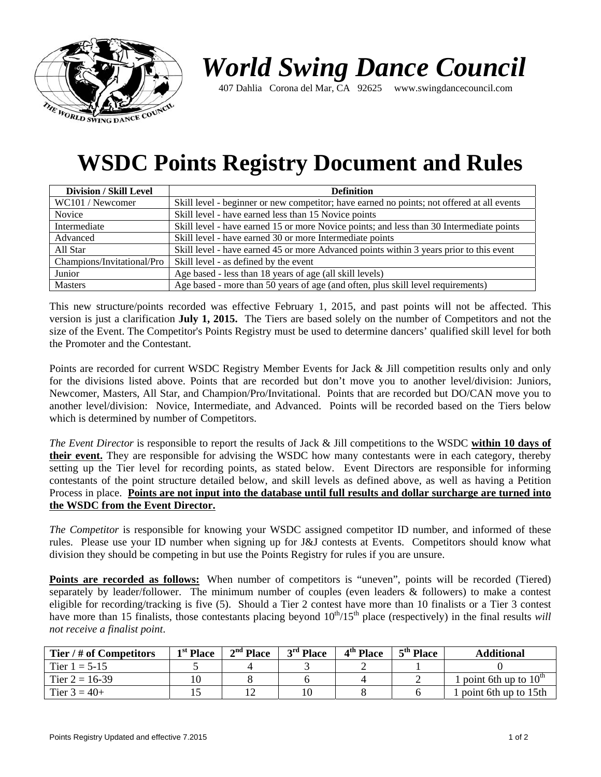

## *World Swing Dance Council*

407 Dahlia Corona del Mar, CA 92625 www.swingdancecouncil.com

## **WSDC Points Registry Document and Rules**

| <b>Division / Skill Level</b> | <b>Definition</b>                                                                          |  |  |  |  |
|-------------------------------|--------------------------------------------------------------------------------------------|--|--|--|--|
| WC101 / Newcomer              | Skill level - beginner or new competitor; have earned no points; not offered at all events |  |  |  |  |
| Novice                        | Skill level - have earned less than 15 Novice points                                       |  |  |  |  |
| Intermediate                  | Skill level - have earned 15 or more Novice points; and less than 30 Intermediate points   |  |  |  |  |
| Advanced                      | Skill level - have earned 30 or more Intermediate points                                   |  |  |  |  |
| All Star                      | Skill level - have earned 45 or more Advanced points within 3 years prior to this event    |  |  |  |  |
| Champions/Invitational/Pro    | Skill level - as defined by the event                                                      |  |  |  |  |
| Junior                        | Age based - less than 18 years of age (all skill levels)                                   |  |  |  |  |
| <b>Masters</b>                | Age based - more than 50 years of age (and often, plus skill level requirements)           |  |  |  |  |

This new structure/points recorded was effective February 1, 2015, and past points will not be affected. This version is just a clarification **July 1, 2015.** The Tiers are based solely on the number of Competitors and not the size of the Event. The Competitor's Points Registry must be used to determine dancers' qualified skill level for both the Promoter and the Contestant.

Points are recorded for current WSDC Registry Member Events for Jack & Jill competition results only and only for the divisions listed above. Points that are recorded but don't move you to another level/division: Juniors, Newcomer, Masters, All Star, and Champion/Pro/Invitational. Points that are recorded but DO/CAN move you to another level/division: Novice, Intermediate, and Advanced. Points will be recorded based on the Tiers below which is determined by number of Competitors.

*The Event Director* is responsible to report the results of Jack & Jill competitions to the WSDC **within 10 days of their event.** They are responsible for advising the WSDC how many contestants were in each category, thereby setting up the Tier level for recording points, as stated below. Event Directors are responsible for informing contestants of the point structure detailed below, and skill levels as defined above, as well as having a Petition Process in place. **Points are not input into the database until full results and dollar surcharge are turned into the WSDC from the Event Director.** 

*The Competitor* is responsible for knowing your WSDC assigned competitor ID number, and informed of these rules. Please use your ID number when signing up for J&J contests at Events. Competitors should know what division they should be competing in but use the Points Registry for rules if you are unsure.

Points are recorded as follows: When number of competitors is "uneven", points will be recorded (Tiered) separately by leader/follower. The minimum number of couples (even leaders & followers) to make a contest eligible for recording/tracking is five (5). Should a Tier 2 contest have more than 10 finalists or a Tier 3 contest have more than 15 finalists, those contestants placing beyond  $10^{th}/15^{th}$  place (respectively) in the final results *will not receive a finalist point*.

| Tier / # of Competitors | <sup>1st</sup> Place | $2nd$ Place | $3rd$ Place | 4 <sup>th</sup> Place | 5 <sup>th</sup> Place | <b>Additional</b>                             |
|-------------------------|----------------------|-------------|-------------|-----------------------|-----------------------|-----------------------------------------------|
| Tier $1 = 5-15$         |                      |             |             |                       |                       |                                               |
| Tier $2 = 16-39$        |                      |             |             |                       |                       | <sup>1</sup> point 6th up to $10^{\text{th}}$ |
| Tier $3 = 40+$          |                      |             | 10          |                       |                       | point 6th up to $15$ th                       |